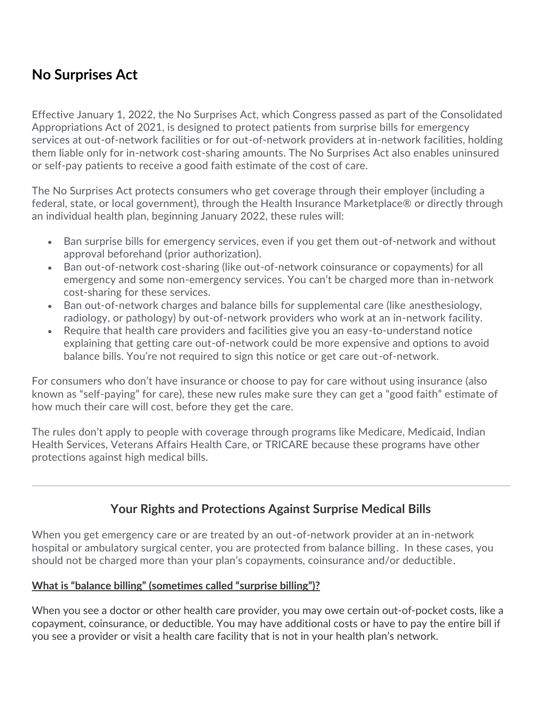# **No Surprises Act**

Effective January 1, 2022, the No Surprises Act, which Congress passed as part of the Consolidated Appropriations Act of 2021, is designed to protect patients from surprise bills for emergency services at out-of-network facilities or for out-of-network providers at in-network facilities, holding them liable only for in-network cost-sharing amounts. The No Surprises Act also enables uninsured or self-pay patients to receive a good faith estimate of the cost of care.

The No Surprises Act protects consumers who get coverage through their employer (including a federal, state, or local government), through the Health Insurance Marketplace® or directly through an individual health plan, beginning January 2022, these rules will:

- Ban surprise bills for emergency services, even if you get them out-of-network and without approval beforehand (prior authorization).
- Ban out-of-network cost-sharing (like out-of-network coinsurance or copayments) for all emergency and some non-emergency services. You can't be charged more than in-network cost-sharing for these services.
- Ban out-of-network charges and balance bills for supplemental care (like anesthesiology, radiology, or pathology) by out-of-network providers who work at an in-network facility.
- Require that health care providers and facilities give you an easy-to-understand notice explaining that getting care out-of-network could be more expensive and options to avoid balance bills. You're not required to sign this notice or get care out-of-network.

For consumers who don't have insurance or choose to pay for care without using insurance (also known as "self-paying" for care), these new rules make sure they can get a "good faith" estimate of how much their care will cost, before they get the care.

The rules don't apply to people with coverage through programs like Medicare, Medicaid, Indian Health Services, Veterans Affairs Health Care, or TRICARE because these programs have other protections against high medical bills.

### **Your Rights and Protections Against Surprise Medical Bills**

When you get emergency care or are treated by an out-of-network provider at an in-network hospital or ambulatory surgical center, you are protected from balance billing. In these cases, you should not be charged more than your plan's copayments, coinsurance and/or deductible.

#### **What is "balance billing" (sometimes called "surprise billing")?**

When you see a doctor or other health care provider, you may owe certain out-of-pocket costs, like a copayment, coinsurance, or deductible. You may have additional costs or have to pay the entire bill if you see a provider or visit a health care facility that is not in your health plan's network.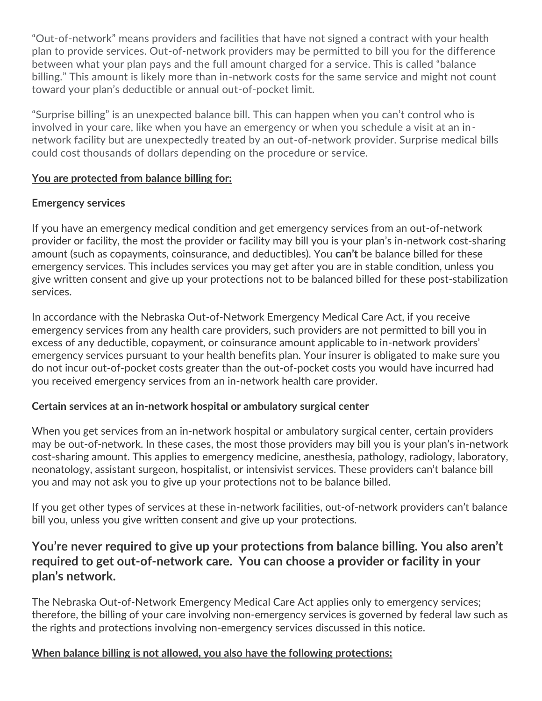"Out-of-network" means providers and facilities that have not signed a contract with your health plan to provide services. Out-of-network providers may be permitted to bill you for the difference between what your plan pays and the full amount charged for a service. This is called "balance billing." This amount is likely more than in-network costs for the same service and might not count toward your plan's deductible or annual out-of-pocket limit.

"Surprise billing" is an unexpected balance bill. This can happen when you can't control who is involved in your care, like when you have an emergency or when you schedule a visit at an innetwork facility but are unexpectedly treated by an out-of-network provider. Surprise medical bills could cost thousands of dollars depending on the procedure or service.

#### **You are protected from balance billing for:**

#### **Emergency services**

If you have an emergency medical condition and get emergency services from an out-of-network provider or facility, the most the provider or facility may bill you is your plan's in-network cost-sharing amount (such as copayments, coinsurance, and deductibles). You **can't** be balance billed for these emergency services. This includes services you may get after you are in stable condition, unless you give written consent and give up your protections not to be balanced billed for these post-stabilization services.

In accordance with the Nebraska Out-of-Network Emergency Medical Care Act, if you receive emergency services from any health care providers, such providers are not permitted to bill you in excess of any deductible, copayment, or coinsurance amount applicable to in-network providers' emergency services pursuant to your health benefits plan. Your insurer is obligated to make sure you do not incur out-of-pocket costs greater than the out-of-pocket costs you would have incurred had you received emergency services from an in-network health care provider.

#### **Certain services at an in-network hospital or ambulatory surgical center**

When you get services from an in-network hospital or ambulatory surgical center, certain providers may be out-of-network. In these cases, the most those providers may bill you is your plan's in-network cost-sharing amount. This applies to emergency medicine, anesthesia, pathology, radiology, laboratory, neonatology, assistant surgeon, hospitalist, or intensivist services. These providers can't balance bill you and may not ask you to give up your protections not to be balance billed.

If you get other types of services at these in-network facilities, out-of-network providers can't balance bill you, unless you give written consent and give up your protections.

### **You're never required to give up your protections from balance billing. You also aren't required to get out-of-network care. You can choose a provider or facility in your plan's network.**

The Nebraska Out-of-Network Emergency Medical Care Act applies only to emergency services; therefore, the billing of your care involving non-emergency services is governed by federal law such as the rights and protections involving non-emergency services discussed in this notice.

#### **When balance billing is not allowed, you also have the following protections:**